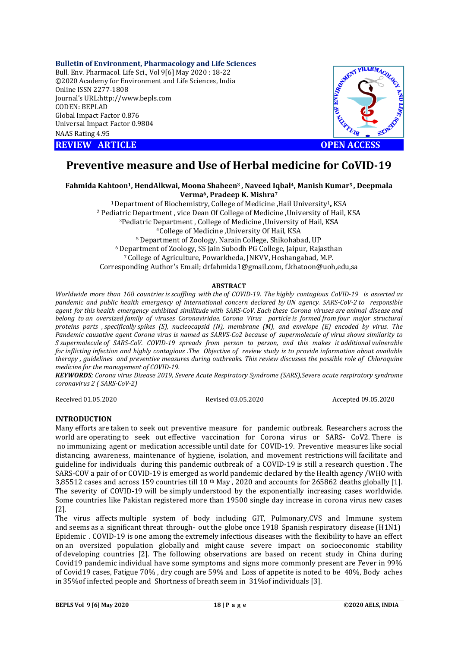## **Bulletin of Environment, Pharmacology and Life Sciences**

Bull. Env. Pharmacol. Life Sci., Vol 9[ [6] May 2020 : 18-22 ©2020 Academy for Environment and Life Sciences, India Online ISSN 2277-1808 Journal's URL:http://www.bepls.com CODEN: BEPLAD Global Impact Factor 0.876 Universal Impact Factor 0.9804 NAAS Rating 4.95





# **Preventive measure and Use of Herbal medicine for CoVID-19**

**Fahmida Kahtoon1, HendAlkwai HendAlkwai, Moona Shaheen3 , Naveed Iqbal4, Manish Kumar , Manish Kumar5 , Deepmala Verma6, Pradeep K. Mishra7**

<sup>1</sup> Department of Biochemistry, College of Medicine ,Hail University<sup>1</sup>, KSA <sup>2</sup> Pediatric Department, vice Dean Of College of Medicine ,University of Hail, KSA <sup>3</sup>Pediatric Department, College of Medicine, University of Hail, KSA <sup>4</sup>College of Medicine , University Of Hail, KSA 5 Department of Zoology, Narain College, Shikohabad, UP <sup>6</sup> Department of Zoology, SS Jain Subodh PG College, Jaipur, Rajasthan <sup>7</sup> College of Agriculture, Powarkheda, JNKVV, Hoshangabad, M.P. Corresponding Author's Email; drfahmida1@gmail.com, f.khatoon@uoh,edu,sa

## **ABSTRACT**

*Worldwide more than 168 countries is scuffling with the of COVID-19. The highly contagious CoVID highly CoVID-19 is asserted as pandemic and public health emergency of international concern declared by UN agency. SARS SARS-CoV-2 to responsible agent for this health emergency exhibited similitude with SARS-CoV. Each these Corona viruses are animal disease and belong to an oversized family of viruses Coronaviridae. Corona Virus particle is formed from four major structural proteins parts , specifically spikes (S), nucleocapsid (N), membrane (M), and envelope (E) encoded by virus. The Pandemic causative agent Corona virus i is named as SARVS-Co2 because of supermolecule of virus shows similarity to*  Pandemic causative agent Corona virus is named as SARVS-Co2 because of supermolecule of virus shows similarity to<br>S supermolecule of SARS-CoV. COVID-19 spreads from person to person, and this makes it additional *for inflicting infection and highly contagious .The Objective of review study is to provide information about available*  for inflicting infection and highly contagious .The Objective of review study is to provide information about available<br>therapy , guidelines and preventive measures during outbreaks. This review discusses the possible r *medicine for the management of COVID COVID-19.*

*KEYWORDS; Corona virus Disease 2019, Severe Acute Respiratory Syndrome (SARS),Severe acute respiratory syndrome (SARS),Severe coronavirus 2 ( SARS-CoV-2)*

Received 01.05.2020

Revised 03.05.2020

Accepted 09.05.2020

# **INTRODUCTION**

Many efforts are taken to seek out preventive measure for pandemic outbreak. Researchers across the world are operating to seek out effective vaccination for Corona virus or SARS- CoV2. There is no immunizing agent or medication accessible until date for COVID-19. Preventive measures like social distancing, awareness, maintenance of hygiene, isolation, and movement restrictions will facilitate and guideline for individuals during this pandemic outbreak of a COVID-19 is still a research question. The SARS-COV a pair of or COVID-19 is emerged as world pandemic declared by the Health agency /WHO with 3,85512 cases and across 159 countries till 10<sup>th</sup> May, 2020 and accounts for 265862 deaths globally [1]. The severity of COVID-19 will be simply understood by the exponentially increasing cases worldwide. The severity of COVID-19 will be simply understood by the exponentially increasing cases worldwide.<br>Some countries like Pakistan registered more than 19500 single day increase in corona virus new cases [2].

The virus affects multiple system of body including GIT, Pulmonary,CVS and Immune system and seems as a significant threat through- out the globe once 1918 Spanish respiratory disease (H1N1) Epidemic . COVID-19 is one among the extremely infectious diseases with the flexibility to have an effect on an oversized population globally and might cause severe impact on socioeconomic stability of developing countries [2]. The following observations are based on recent study in China during Covid19 pandemic individual have some symptoms and signs more commonly present are Fever in 99% of developing countries [2]. The following observations are based on recent study in China during<br>Covid19 pandemic individual have some symptoms and signs more commonly present are Fever in 99%<br>of Covid19 cases, Fatigue 70 Covid19 pandemic individual have some symptoms and signs more commonly p<br>of Covid19 cases, Fatigue 70% , dry cough are 59% and Loss of appetite is noted<br>in 35%of infected people and Shortness of breath seem in 31%of indivi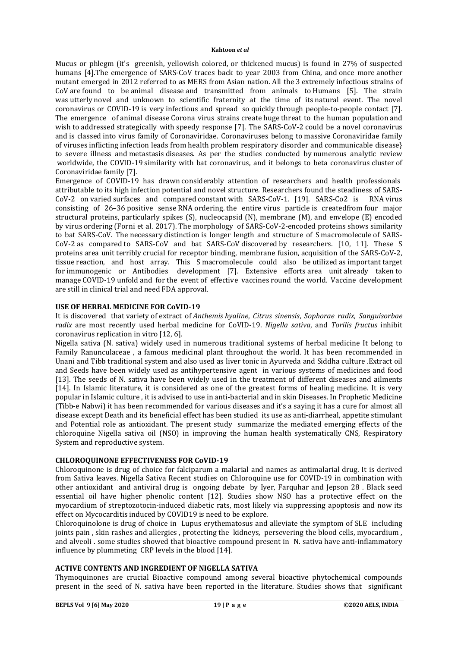Mucus or phlegm (it's greenish, yellowish colored, or thickened mucus) is found in 27% of suspected humans [4].The emergence of SARS-CoV traces back to year 2003 from China, and once more another mutant emerged in 2012 referred to as MERS from Asian nation. All the 3 extremely infectious strains of CoV are found to be animal disease and transmitted from animals to Humans [5]. The strain was utterly novel and unknown to scientific fraternity at the time of its natural event. The novel coronavirus or COVID-19 is very infectious and spread so quickly through people-to-people contact [7]. The emergence of animal disease Corona virus strains create huge threat to the human population and wish to addressed strategically with speedy response [7]. The SARS-CoV-2 could be a novel coronavirus and is classed into virus family of Coronaviridae. Coronaviruses belong to massive Coronaviridae family of viruses inflicting infection leads from health problem respiratory disorder and communicable disease} to severe illness and metastasis diseases. As per the studies conducted by numerous analytic review worldwide, the COVID-19 similarity with bat coronavirus, and it belongs to beta coronavirus cluster of Coronaviridae family [7].

Emergence of COVID-19 has drawn considerably attention of researchers and health professionals attributable to its high infection potential and novel structure. Researchers found the steadiness of SARS-CoV-2 on varied surfaces and compared constant with SARS-CoV-1. [19]. SARS-Co2 is RNA virus consisting of 26–36 positive sense RNA ordering. the entire virus particle is createdfrom four major structural proteins, particularly spikes (S), nucleocapsid (N), membrane (M), and envelope (E) encoded by virus ordering (Forni et al. 2017). The morphology of SARS-CoV-2-encoded proteins shows similarity to bat SARS-CoV. The necessary distinction is longer length and structure of S macromolecule of SARS-CoV-2 as compared to SARS-CoV and bat SARS-CoV discovered by researchers. [10, 11]. These S proteins area unit terribly crucial for receptor binding, membrane fusion, acquisition of the SARS-CoV-2, tissue reaction, and host array. This S macromolecule could also be utilized as important target for immunogenic or Antibodies development [7]. Extensive efforts area unit already taken to manage COVID-19 unfold and for the event of effective vaccines round the world. Vaccine development are still in clinical trial and need FDA approval.

# **USE OF HERBAL MEDICINE FOR CoVID-19**

It is discovered that variety of extract of *Anthemis hyaline*, *Citrus sinensis*, *Sophorae radix*, *Sanguisorbae radix* are most recently used herbal medicine for CoVID-19. *Nigella sativa*, and *Torilis fructus* inhibit coronavirus replication in vitro [12, 6].

Nigella sativa (N. sativa) widely used in numerous traditional systems of herbal medicine It belong to Family Ranunculaceae , a famous medicinal plant throughout the world. It has been recommended in Unani and Tibb traditional system and also used as liver tonic in Ayurveda and Siddha culture .Extract oil and Seeds have been widely used as antihypertensive agent in various systems of medicines and food [13]. The seeds of N. sativa have been widely used in the treatment of different diseases and ailments [14]. In Islamic literature, it is considered as one of the greatest forms of healing medicine. It is very popular in Islamic culture , it is advised to use in anti-bacterial and in skin Diseases. In Prophetic Medicine (Tibb-e Nabwi) it has been recommended for various diseases and it's a saying it has a cure for almost all disease except Death and its beneficial effect has been studied its use as anti-diarrheal, appetite stimulant and Potential role as antioxidant. The present study summarize the mediated emerging effects of the chloroquine Nigella sativa oil (NSO) in improving the human health systematically CNS, Respiratory System and reproductive system.

# **CHLOROQUINONE EFFECTIVENESS FOR CoVID-19**

Chloroquinone is drug of choice for falciparum a malarial and names as antimalarial drug. It is derived from Sativa leaves. Nigella Sativa Recent studies on Chloroquine use for COVID-19 in combination with other antioxidant and antiviral drug is ongoing debate by Iyer, Farquhar and Jepson 28 . Black seed essential oil have higher phenolic content [12]. Studies show NSO has a protective effect on the myocardium of streptozotocin-induced diabetic rats, most likely via suppressing apoptosis and now its effect on Mycocarditis induced by COVID19 is need to be explore.

Chloroquinolone is drug of choice in Lupus erythematosus and alleviate the symptom of SLE including joints pain , skin rashes and allergies , protecting the kidneys, persevering the blood cells, myocardium , and alveoli . some studies showed that bioactive compound present in N. sativa have anti-inflammatory influence by plummeting CRP levels in the blood [14].

# **ACTIVE CONTENTS AND INGREDIENT OF NIGELLA SATIVA**

Thymoquinones are crucial Bioactive compound among several bioactive phytochemical compounds present in the seed of N. sativa have been reported in the literature. Studies shows that significant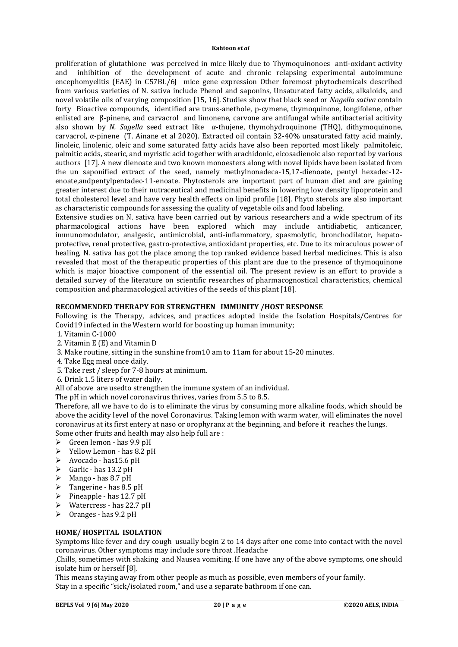proliferation of glutathione was perceived in mice likely due to Thymoquinonoes anti-oxidant activity and inhibition of the development of acute and chronic relapsing experimental autoimmune encephomyelitis (EAE) in C57BL/6J mice gene expression Other foremost phytochemicals described from various varieties of N. sativa include Phenol and saponins, Unsaturated fatty acids, alkaloids, and novel volatile oils of varying composition [15, 16]. Studies show that black seed or *Nagella sativa* contain forty Bioactive compounds, identified are trans-anethole, p-cymene, thymoquinone, longifolene, other enlisted are β-pinene, and carvacrol and limonene, carvone are antifungal while antibacterial acitivity also shown by *N. Sagella* seed extract like  $\alpha$ -thujene, thymohydroquinone (THQ), dithymoquinone, carvacrol, α-pinene (T. Ainane et al 2020). Extracted oil contain 32-40% unsaturated fatty acid mainly, linoleic, linolenic, oleic and some saturated fatty acids have also been reported most likely palmitoleic, palmitic acids, stearic, and myristic acid together with arachidonic, eicosadienoic also reported by various authors [17]. A new dienoate and two known monoesters along with novel lipids have been isolated from the un saponified extract of the seed, namely methylnonadeca-15,17-dienoate, pentyl hexadec-12 enoate,andpentylpentadec-11-enoate. Phytosterols are important part of human diet and are gaining greater interest due to their nutraceutical and medicinal benefits in lowering low density lipoprotein and total cholesterol level and have very health effects on lipid profile [18]. Phyto sterols are also important as characteristic compounds for assessing the quality of vegetable oils and food labeling.

Extensive studies on N. sativa have been carried out by various researchers and a wide spectrum of its pharmacological actions have been explored which may include antidiabetic, anticancer, immunomodulator, analgesic, antimicrobial, anti-inflammatory, spasmolytic, bronchodilator, hepatoprotective, renal protective, gastro-protective, antioxidant properties, etc. Due to its miraculous power of healing, N. sativa has got the place among the top ranked evidence based herbal medicines. This is also revealed that most of the therapeutic properties of this plant are due to the presence of thymoquinone which is major bioactive component of the essential oil. The present review is an effort to provide a detailed survey of the literature on scientific researches of pharmacognostical characteristics, chemical composition and pharmacological activities of the seeds of this plant [18].

# **RECOMMENDED THERAPY FOR STRENGTHEN IMMUNITY /HOST RESPONSE**

Following is the Therapy, advices, and practices adopted inside the Isolation Hospitals/Centres for Covid19 infected in the Western world for boosting up human immunity;

- 1. Vitamin C-1000
- 2. Vitamin E (E) and Vitamin D
- 3. Make routine, sitting in the sunshine from10 am to 11am for about 15-20 minutes.
- 4. Take Egg meal once daily.
- 5. Take rest / sleep for 7-8 hours at minimum.
- 6. Drink 1.5 liters of water daily.

All of above are usedto strengthen the immune system of an individual.

The pH in which novel coronavirus thrives, varies from 5.5 to 8.5.

Therefore, all we have to do is to eliminate the virus by consuming more alkaline foods, which should be above the acidity level of the novel Coronavirus. Taking lemon with warm water, will eliminates the novel coronavirus at its first entery at naso or orophyranx at the beginning, and before it reaches the lungs. Some other fruits and health may also help full are :

- $\triangleright$  Green lemon has 9.9 pH
- $\triangleright$  Yellow Lemon has 8.2 pH
- $\triangleright$  Avocado has 15.6 pH
- $\triangleright$  Garlic has 13.2 pH
- $\triangleright$  Mango has 8.7 pH
- $\triangleright$  Tangerine has 8.5 pH
- $\triangleright$  Pineapple has 12.7 pH
- $\triangleright$  Watercress has 22.7 pH
- $\triangleright$  Oranges has 9.2 pH

# **HOME/ HOSPITAL ISOLATION**

Symptoms like fever and dry cough usually begin 2 to 14 days after one come into contact with the novel coronavirus. Other symptoms may include sore throat .Headache

,Chills, sometimes with shaking and Nausea vomiting. If one have any of the above symptoms, one should isolate him or herself [8].

This means staying away from other people as much as possible, even members of your family. Stay in a specific "sick/isolated room," and use a separate bathroom if one can.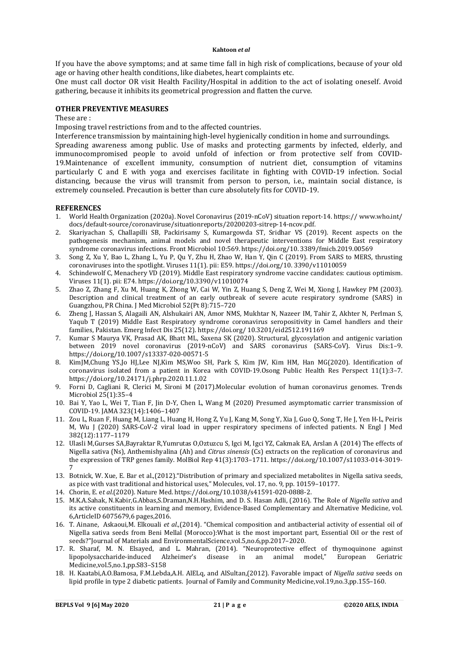If you have the above symptoms; and at same time fall in high risk of complications, because of your old age or having other health conditions, like diabetes, heart complaints etc.

One must call doctor OR visit Health Facility/Hospital in addition to the act of isolating oneself. Avoid gathering, because it inhibits its geometrical progression and flatten the curve.

## **OTHER PREVENTIVE MEASURES**

These are :

Imposing travel restrictions from and to the affected countries.

Interference transmission by maintaining high-level hygienically condition in home and surroundings.

Spreading awareness among public. Use of masks and protecting garments by infected, elderly, and immunocompromised people to avoid unfold of infection or from protective self from COVID-19.Maintenance of excellent immunity, consumption of nutrient diet, consumption of vitamins particularly C and E with yoga and exercises facilitate in fighting with COVID-19 infection. Social distancing, because the virus will transmit from person to person, i.e., maintain social distance, is extremely counseled. Precaution is better than cure absolutely fits for COVID-19.

## **REFERENCES**

- 1. World Health Organization (2020a). Novel Coronavirus (2019-nCoV) situation report-14. https:// www.who.int/ docs/default-source/coronaviruse/situationreports/20200203-sitrep-14-ncov.pdf.
- 2. Skariyachan S, Challapilli SB, Packirisamy S, Kumargowda ST, Sridhar VS (2019). Recent aspects on the pathogenesis mechanism, animal models and novel therapeutic interventions for Middle East respiratory syndrome coronavirus infections. Front Microbiol 10:569. https://doi.org/10. 3389/fmicb.2019.00569
- 3. Song Z, Xu Y, Bao L, Zhang L, Yu P, Qu Y, Zhu H, Zhao W, Han Y, Qin C (2019). From SARS to MERS, thrusting coronaviruses into the spotlight. Viruses 11(1). pii: E59. https://doi.org/10. 3390/v11010059
- 4. Schindewolf C, Menachery VD (2019). Middle East respiratory syndrome vaccine candidates: cautious optimism. Viruses 11(1). pii: E74. https://doi.org/10.3390/v11010074
- 5. Zhao Z, Zhang F, Xu M, Huang K, Zhong W, Cai W, Yin Z, Huang S, Deng Z, Wei M, Xiong J, Hawkey PM (2003). Description and clinical treatment of an early outbreak of severe acute respiratory syndrome (SARS) in Guangzhou, PR China. J Med Microbiol 52(Pt 8):715–720
- 6. Zheng J, Hassan S, Alagaili AN, Alshukairi AN, Amor NMS, Mukhtar N, Nazeer IM, Tahir Z, Akhter N, Perlman S, Yaqub T (2019) Middle East Respiratory syndrome coronavirus seropositivity in Camel handlers and their families, Pakistan. Emerg Infect Dis 25(12). https://doi.org/ 10.3201/eid2512.191169
- 7. Kumar S Maurya VK, Prasad AK, Bhatt ML, Saxena SK (2020). Structural, glycosylation and antigenic variation between 2019 novel coronavirus (2019-nCoV) and SARS coronavirus (SARS-CoV). Virus Dis:1–9. https://doi.org/10.1007/s13337-020-00571-5
- 8. KimJM,Chung YS,Jo HJ,Lee NJ,Kim MS,Woo SH, Park S, Kim JW, Kim HM, Han MG(2020). Identification of coronavirus isolated from a patient in Korea with COVID-19.Osong Public Health Res Perspect 11(1):3–7. https://doi.org/10.24171/j.phrp.2020.11.1.02
- 9. Forni D, Cagliani R, Clerici M, Sironi M (2017).Molecular evolution of human coronavirus genomes. Trends Microbiol 25(1):35–4
- 10. Bai Y, Yao L, Wei T, Tian F, Jin D-Y, Chen L, Wang M (2020) Presumed asymptomatic carrier transmission of COVID-19. JAMA 323(14):1406–1407
- 11. Zou L, Ruan F, Huang M, Liang L, Huang H, Hong Z, Yu J, Kang M, Song Y, Xia J, Guo Q, Song T, He J, Yen H-L, Peiris M, Wu J (2020) SARS-CoV-2 viral load in upper respiratory specimens of infected patients. N Engl J Med 382(12):1177–1179
- 12. Ulasli M,Gurses SA,Bayraktar R,Yumrutas O,Oztuzcu S, Igci M, Igci YZ, Cakmak EA, Arslan A (2014) The effects of Nigella sativa (Ns), Anthemishyalina (Ah) and *Citrus sinensis* (Cs) extracts on the replication of coronavirus and the expression of TRP genes family. MolBiol Rep 41(3):1703–1711. https://doi.org/10.1007/s11033-014-3019- 7
- 13. Botnick, W. Xue, E. Bar et al.,(2012)."Distribution of primary and specialized metabolites in Nigella sativa seeds, as pice with vast traditional and historical uses," Molecules, vol. 17, no. 9, pp. 10159–10177.
- 14. Chorin, E. e*t al*.(2020). Nature Med. https://doi.org/10.1038/s41591-020-0888-2.
- 15. M.K.A.Sahak, N.Kabir,G.Abbas,S.Draman,N.H.Hashim, and D. S. Hasan Adli, (2016). The Role of *Nigella sativa* and its active constituents in learning and memory, Evidence-Based Complementary and Alternative Medicine, vol. 6,ArticleID 6075679,6 pages,2016.
- 16. T. Ainane, Askaoui,M. Elkouali *et al*.,(2014). "Chemical composition and antibacterial activity of essential oil of Nigella sativa seeds from Beni Mellal (Morocco):What is the most important part, Essential Oil or the rest of seeds?"Journal of Materials and EnvironmentalScience,vol.5,no.6,pp.2017–2020.
- 17. R. Sharaf, M. N. Elsayed, and L. Mahran, (2014). "Neuroprotective effect of thymoquinone against lipopolysaccharide-induced Alzheimer's disease in an animal model," European Geriatric Medicine,vol.5,no.1,pp.S83–S158
- 18. H. Kaatabi,A.O.Bamosa, F.M.Lebda,A.H. AlELq, and AlSultan,(2012). Favorable impact of *Nigella sativa* seeds on lipid profile in type 2 diabetic patients. Journal of Family and Community Medicine,vol.19,no.3,pp.155–160.